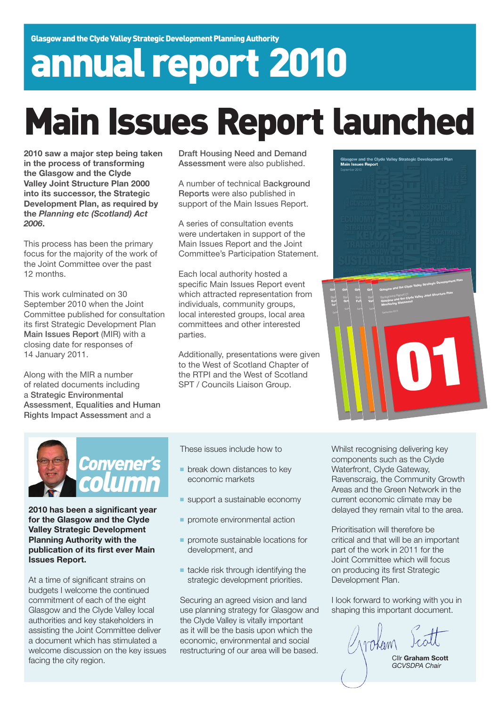# annual report 2010

## Main Issues Report launched

**2010 saw a major step being taken in the process of transforming the Glasgow and the Clyde Valley Joint Structure Plan 2000 into its successor, the Strategic Development Plan, as required by the** *Planning etc (Scotland) Act 2006***.**

This process has been the primary focus for the majority of the work of the Joint Committee over the past 12 months.

This work culminated on 30 September 2010 when the Joint Committee published for consultation its first Strategic Development Plan Main Issues Report (MIR) with a closing date for responses of 14 January 2011.

Along with the MIR a number of related documents including a Strategic Environmental Assessment, Equalities and Human Rights Impact Assessment and a

Draft Housing Need and Demand Assessment were also published.

A number of technical Background Reports were also published in support of the Main Issues Report.

A series of consultation events were undertaken in support of the Main Issues Report and the Joint Committee's Participation Statement.

Each local authority hosted a specific Main Issues Report event which attracted representation from individuals, community groups, local interested groups, local area committees and other interested parties.

Additionally, presentations were given to the West of Scotland Chapter of the RTPI and the West of Scotland SPT / Councils Liaison Group.





**2010 has been a significant year for the Glasgow and the Clyde Valley Strategic Development Planning Authority with the publication of its first ever Main Issues Report.**

At a time of significant strains on budgets I welcome the continued commitment of each of the eight Glasgow and the Clyde Valley local authorities and key stakeholders in assisting the Joint Committee deliver a document which has stimulated a welcome discussion on the key issues facing the city region.

These issues include how to

- break down distances to key economic markets
- support a sustainable economy
- **promote environmental action**
- promote sustainable locations for development, and
- tackle risk through identifying the strategic development priorities.

Securing an agreed vision and land use planning strategy for Glasgow and the Clyde Valley is vitally important as it will be the basis upon which the economic, environmental and social restructuring of our area will be based.

Whilst recognising delivering key components such as the Clyde Waterfront, Clyde Gateway, Ravenscraig, the Community Growth Areas and the Green Network in the current economic climate may be delayed they remain vital to the area.

Prioritisation will therefore be critical and that will be an important part of the work in 2011 for the Joint Committee which will focus on producing its first Strategic Development Plan.

I look forward to working with you in shaping this important document.

11 okem

Cllr **Graham Scott** *GCVSDPA Chair*